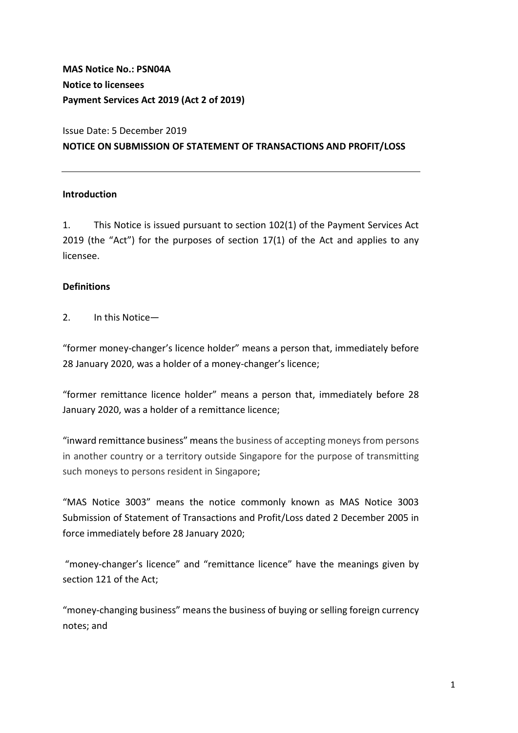MAS Notice No.: PSN04A Notice to licensees Payment Services Act 2019 (Act 2 of 2019)

# Issue Date: 5 December 2019 NOTICE ON SUBMISSION OF STATEMENT OF TRANSACTIONS AND PROFIT/LOSS

#### Introduction

1. This Notice is issued pursuant to section 102(1) of the Payment Services Act 2019 (the "Act") for the purposes of section 17(1) of the Act and applies to any licensee.

#### **Definitions**

2. In this Notice—

"former money-changer's licence holder" means a person that, immediately before 28 January 2020, was a holder of a money-changer's licence;

"former remittance licence holder" means a person that, immediately before 28 January 2020, was a holder of a remittance licence;

"inward remittance business" means the business of accepting moneys from persons in another country or a territory outside Singapore for the purpose of transmitting such moneys to persons resident in Singapore;

"MAS Notice 3003" means the notice commonly known as MAS Notice 3003 Submission of Statement of Transactions and Profit/Loss dated 2 December 2005 in force immediately before 28 January 2020;

 "money-changer's licence" and "remittance licence" have the meanings given by section 121 of the Act;

"money-changing business" means the business of buying or selling foreign currency notes; and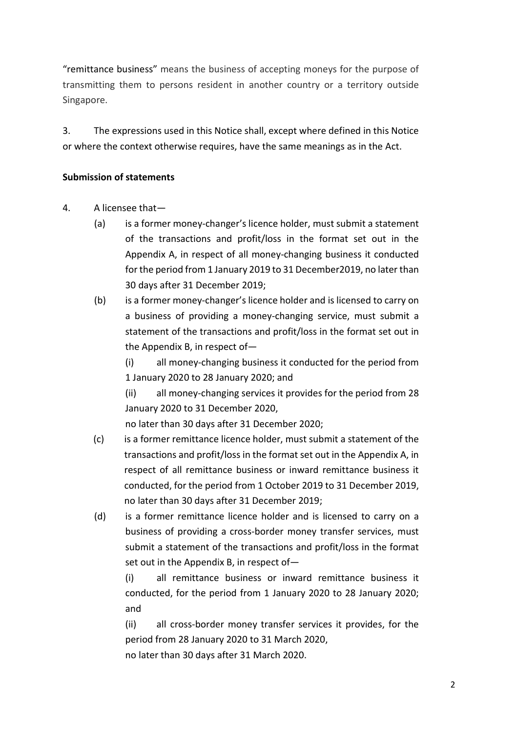"remittance business" means the business of accepting moneys for the purpose of transmitting them to persons resident in another country or a territory outside Singapore.

3. The expressions used in this Notice shall, except where defined in this Notice or where the context otherwise requires, have the same meanings as in the Act.

# Submission of statements

- 4. A licensee that—
	- (a) is a former money-changer's licence holder, must submit a statement of the transactions and profit/loss in the format set out in the Appendix A, in respect of all money-changing business it conducted for the period from 1 January 2019 to 31 December2019, no later than 30 days after 31 December 2019;
	- (b) is a former money-changer's licence holder and is licensed to carry on a business of providing a money-changing service, must submit a statement of the transactions and profit/loss in the format set out in the Appendix B, in respect of—

(i) all money-changing business it conducted for the period from 1 January 2020 to 28 January 2020; and

(ii) all money-changing services it provides for the period from 28 January 2020 to 31 December 2020,

no later than 30 days after 31 December 2020;

- (c) is a former remittance licence holder, must submit a statement of the transactions and profit/loss in the format set out in the Appendix A, in respect of all remittance business or inward remittance business it conducted, for the period from 1 October 2019 to 31 December 2019, no later than 30 days after 31 December 2019;
- (d) is a former remittance licence holder and is licensed to carry on a business of providing a cross-border money transfer services, must submit a statement of the transactions and profit/loss in the format set out in the Appendix B, in respect of—

(i) all remittance business or inward remittance business it conducted, for the period from 1 January 2020 to 28 January 2020; and

(ii) all cross-border money transfer services it provides, for the period from 28 January 2020 to 31 March 2020,

no later than 30 days after 31 March 2020.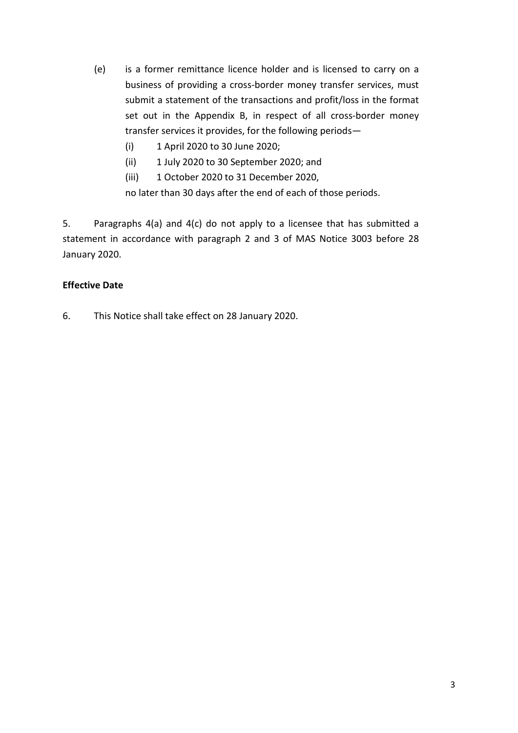- (e) is a former remittance licence holder and is licensed to carry on a business of providing a cross-border money transfer services, must submit a statement of the transactions and profit/loss in the format set out in the Appendix B, in respect of all cross-border money transfer services it provides, for the following periods—
	- (i) 1 April 2020 to 30 June 2020;
	- (ii) 1 July 2020 to 30 September 2020; and
	- (iii) 1 October 2020 to 31 December 2020,

no later than 30 days after the end of each of those periods.

5. Paragraphs 4(a) and 4(c) do not apply to a licensee that has submitted a statement in accordance with paragraph 2 and 3 of MAS Notice 3003 before 28 January 2020.

# Effective Date

6. This Notice shall take effect on 28 January 2020.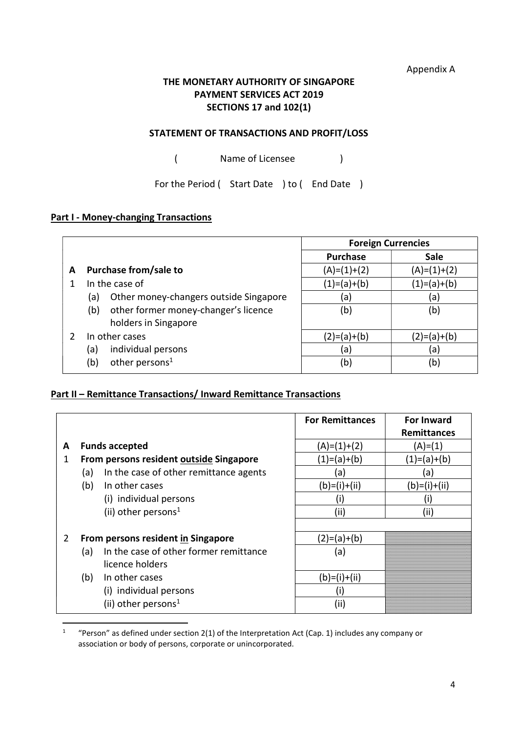Appendix A

# THE MONETARY AUTHORITY OF SINGAPORE PAYMENT SERVICES ACT 2019 SECTIONS 17 and 102(1)

#### STATEMENT OF TRANSACTIONS AND PROFIT/LOSS

( Name of Licensee )

For the Period ( Start Date ) to ( End Date )

#### **Part I - Money-changing Transactions**

-

|                                               | <b>Foreign Currencies</b> |               |
|-----------------------------------------------|---------------------------|---------------|
|                                               | <b>Purchase</b>           | <b>Sale</b>   |
| Purchase from/sale to<br>A                    | $(A)=(1)+(2)$             | $(A)=(1)+(2)$ |
| In the case of                                | $(1)=(a)+(b)$             | $(1)=(a)+(b)$ |
| Other money-changers outside Singapore<br>(a) | (a)                       | (a)           |
| other former money-changer's licence<br>(b)   | (b)                       | (b)           |
| holders in Singapore                          |                           |               |
| In other cases                                | $(2)=(a)+(b)$             | $(2)=(a)+(b)$ |
| individual persons<br>(a)                     | (a)                       | (a)           |
| other persons <sup>1</sup><br>(b)             | (b)                       | (b)           |

#### Part II – Remittance Transactions/ Inward Remittance Transactions

|   |                                               | <b>For Remittances</b> | <b>For Inward</b>  |
|---|-----------------------------------------------|------------------------|--------------------|
|   |                                               |                        | <b>Remittances</b> |
| A | <b>Funds accepted</b>                         | $(A)=(1)+(2)$          | (A)=(1)            |
| 1 | From persons resident outside Singapore       | (1)=(a)+(b)            | (1)=(a)+(b)        |
|   | In the case of other remittance agents<br>(a) | (a)                    | (a)                |
|   | (b)<br>In other cases                         | (b)=(i)+(ii)           | $(b)=(i)+(ii)$     |
|   | (i) individual persons                        |                        |                    |
|   | (ii) other persons <sup>1</sup>               | (ii)                   | (ii)               |
|   |                                               |                        |                    |
| 2 | From persons resident in Singapore            | $(2)=(a)+(b)$          |                    |
|   | In the case of other former remittance<br>(a) | (a)                    |                    |
|   | licence holders                               |                        |                    |
|   | (b)<br>In other cases                         | $(b)=(i)+(ii)$         |                    |
|   | (i) individual persons                        | (।)                    |                    |
|   | (ii) other persons <sup>1</sup>               | (ii)                   |                    |

<sup>1</sup> "Person" as defined under section 2(1) of the Interpretation Act (Cap. 1) includes any company or association or body of persons, corporate or unincorporated.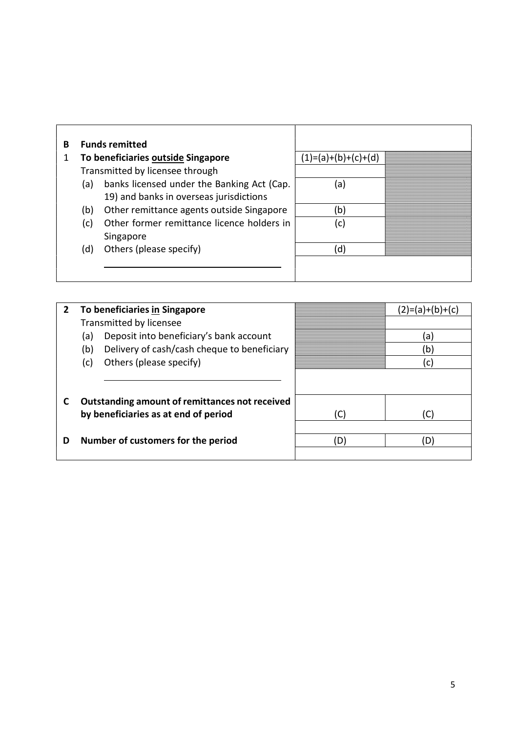| В |     | <b>Funds remitted</b>                      |                       |  |
|---|-----|--------------------------------------------|-----------------------|--|
|   |     | To beneficiaries outside Singapore         | $(1)=(a)+(b)+(c)+(d)$ |  |
|   |     | Transmitted by licensee through            |                       |  |
|   | (a) | banks licensed under the Banking Act (Cap. | (a)                   |  |
|   |     | 19) and banks in overseas jurisdictions    |                       |  |
|   | (b) | Other remittance agents outside Singapore  | b)                    |  |
|   | (c) | Other former remittance licence holders in | (c)                   |  |
|   |     | Singapore                                  |                       |  |
|   | (d) | Others (please specify)                    | ď                     |  |
|   |     |                                            |                       |  |
|   |     |                                            |                       |  |

| $\overline{2}$ | To beneficiaries in Singapore                      |     | $(2)=$ (a) + (b) + (c) |
|----------------|----------------------------------------------------|-----|------------------------|
|                | Transmitted by licensee                            |     |                        |
|                | Deposit into beneficiary's bank account<br>(a)     |     | (a)                    |
|                | Delivery of cash/cash cheque to beneficiary<br>(b) |     | (b)                    |
|                | Others (please specify)<br>(c)                     |     | C.                     |
|                |                                                    |     |                        |
|                |                                                    |     |                        |
|                | Outstanding amount of remittances not received     |     |                        |
|                | by beneficiaries as at end of period               | (C) |                        |
|                |                                                    |     |                        |
| D              | Number of customers for the period                 | D)  | 'D                     |
|                |                                                    |     |                        |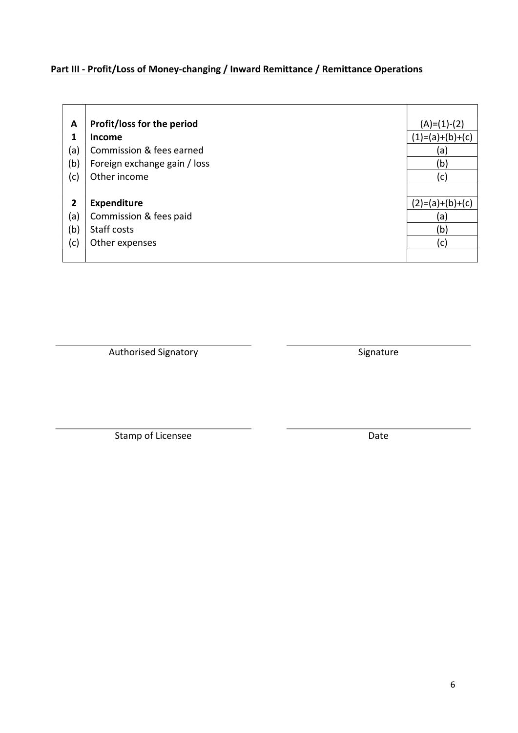# Part III - Profit/Loss of Money-changing / Inward Remittance / Remittance Operations

| A            | Profit/loss for the period   | $(A)=(1)-(2)$     |
|--------------|------------------------------|-------------------|
| 1            | <b>Income</b>                | $(1)=(a)+(b)+(c)$ |
| (a)          | Commission & fees earned     | (a)               |
| (b)          | Foreign exchange gain / loss | (b)               |
| (c)          | Other income                 | (c)               |
|              |                              |                   |
| $\mathbf{2}$ | <b>Expenditure</b>           | $(2)=(a)+(b)+(c)$ |
| (a)          | Commission & fees paid       | (a)               |
| (b)          | Staff costs                  | (b)               |
| (c)          | Other expenses               | (c)               |
|              |                              |                   |

Authorised Signatory **Signature** Signature

Stamp of Licensee Date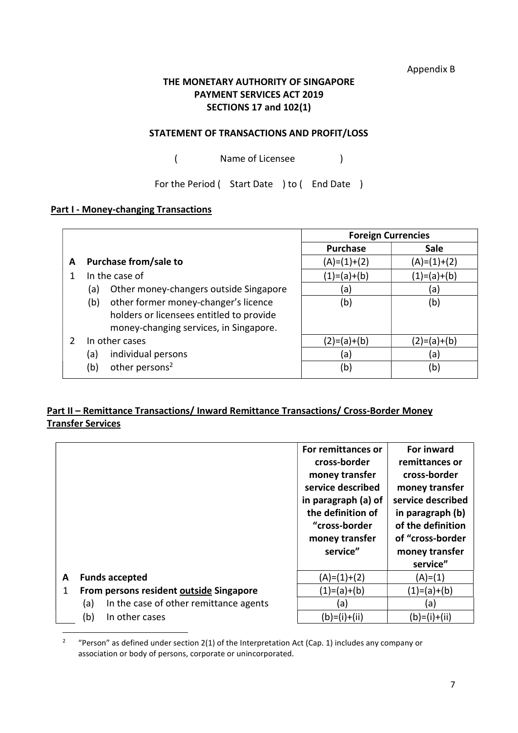Appendix B

# THE MONETARY AUTHORITY OF SINGAPORE PAYMENT SERVICES ACT 2019 SECTIONS 17 and 102(1)

#### STATEMENT OF TRANSACTIONS AND PROFIT/LOSS

( Name of Licensee )

For the Period ( Start Date ) to ( End Date )

#### **Part I - Money-changing Transactions**

|   |                                                                                                                                   | <b>Foreign Currencies</b> |               |
|---|-----------------------------------------------------------------------------------------------------------------------------------|---------------------------|---------------|
|   |                                                                                                                                   | <b>Purchase</b>           | <b>Sale</b>   |
| A | Purchase from/sale to                                                                                                             | $(A)=(1)+(2)$             | $(A)=(1)+(2)$ |
|   | In the case of                                                                                                                    | $(1)=(a)+(b)$             | (1)=(a)+(b)   |
|   | Other money-changers outside Singapore<br>(a)                                                                                     | (a)                       | (a)           |
|   | other former money-changer's licence<br>(b)<br>holders or licensees entitled to provide<br>money-changing services, in Singapore. | (b)                       | (b)           |
|   | In other cases                                                                                                                    | $(2)=(a)+(b)$             | (2)=(a)+(b)   |
|   | individual persons<br>(a)                                                                                                         | (a)                       | (a)           |
|   | other persons <sup>2</sup><br>(b)                                                                                                 | (b)                       | (b)           |

# Part II – Remittance Transactions/ Inward Remittance Transactions/ Cross-Border Money Transfer Services

|   |                                               | For remittances or<br>cross-border<br>money transfer<br>service described<br>in paragraph (a) of<br>the definition of<br>"cross-border<br>money transfer<br>service" | For inward<br>remittances or<br>cross-border<br>money transfer<br>service described<br>in paragraph (b)<br>of the definition<br>of "cross-border<br>money transfer<br>service" |
|---|-----------------------------------------------|----------------------------------------------------------------------------------------------------------------------------------------------------------------------|--------------------------------------------------------------------------------------------------------------------------------------------------------------------------------|
| A | <b>Funds accepted</b>                         | $(A)=(1)+(2)$                                                                                                                                                        | $(A)= (1)$                                                                                                                                                                     |
| 1 | From persons resident outside Singapore       | $(1)=(a)+(b)$                                                                                                                                                        | $(1)=(a)+(b)$                                                                                                                                                                  |
|   | In the case of other remittance agents<br>(a) | (a)                                                                                                                                                                  | (a)                                                                                                                                                                            |
|   | (b)<br>In other cases                         | $(b)=(i)+(ii)$                                                                                                                                                       | $(b)=(i)+(ii)$                                                                                                                                                                 |

<sup>2</sup> "Person" as defined under section 2(1) of the Interpretation Act (Cap. 1) includes any company or association or body of persons, corporate or unincorporated.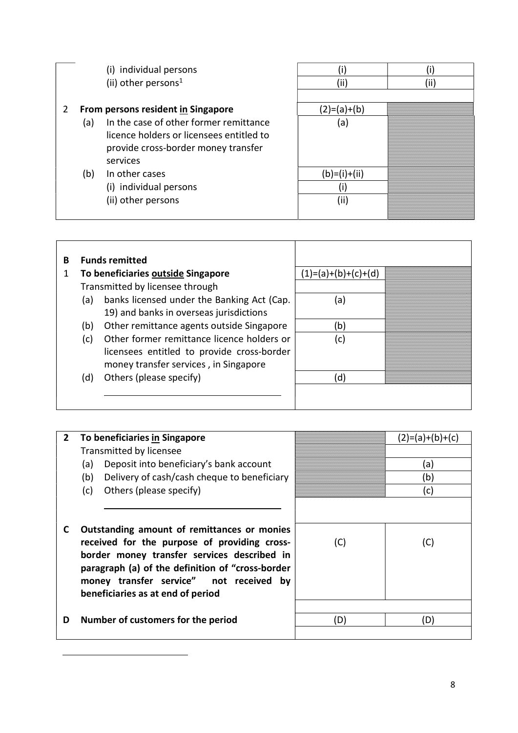|   |     | (i) individual persons                   |             |  |
|---|-----|------------------------------------------|-------------|--|
|   |     | (ii) other persons <sup>1</sup>          | (ii         |  |
|   |     |                                          |             |  |
| 2 |     | From persons resident in Singapore       | (2)=(a)+(b) |  |
|   | (a) | In the case of other former remittance   | (a)         |  |
|   |     | licence holders or licensees entitled to |             |  |
|   |     | provide cross-border money transfer      |             |  |
|   |     | services                                 |             |  |
|   | (b) | In other cases                           | $(b)=1$     |  |
|   |     | (i) individual persons                   |             |  |
|   |     | (ii) other persons                       | (ii)        |  |
|   |     |                                          |             |  |

| B |     | <b>Funds remitted</b>                      |                       |  |
|---|-----|--------------------------------------------|-----------------------|--|
|   |     | To beneficiaries outside Singapore         | $(1)=(a)+(b)+(c)+(d)$ |  |
|   |     | Transmitted by licensee through            |                       |  |
|   | (a) | banks licensed under the Banking Act (Cap. | (a)                   |  |
|   |     | 19) and banks in overseas jurisdictions    |                       |  |
|   | (b) | Other remittance agents outside Singapore  | (b)                   |  |
|   | (c) | Other former remittance licence holders or | (c)                   |  |
|   |     | licensees entitled to provide cross-border |                       |  |
|   |     | money transfer services, in Singapore      |                       |  |
|   | (d) | Others (please specify)                    | d)                    |  |
|   |     |                                            |                       |  |
|   |     |                                            |                       |  |

| $\overline{2}$ | To beneficiaries in Singapore                                                                                                                                                                                                                                                  |     | (2)=(a)+(b)+(c) |
|----------------|--------------------------------------------------------------------------------------------------------------------------------------------------------------------------------------------------------------------------------------------------------------------------------|-----|-----------------|
|                | Transmitted by licensee                                                                                                                                                                                                                                                        |     |                 |
|                | Deposit into beneficiary's bank account<br>(a)                                                                                                                                                                                                                                 |     | (a)             |
|                | Delivery of cash/cash cheque to beneficiary<br>(b)                                                                                                                                                                                                                             |     | (b)             |
|                | (c)<br>Others (please specify)                                                                                                                                                                                                                                                 |     | (c)             |
|                |                                                                                                                                                                                                                                                                                |     |                 |
| C              | Outstanding amount of remittances or monies<br>received for the purpose of providing cross-<br>border money transfer services described in<br>paragraph (a) of the definition of "cross-border<br>money transfer service" not received by<br>beneficiaries as at end of period | (C) | (C)             |
| D              | Number of customers for the period                                                                                                                                                                                                                                             | (D) | (D)             |

<u>.</u>